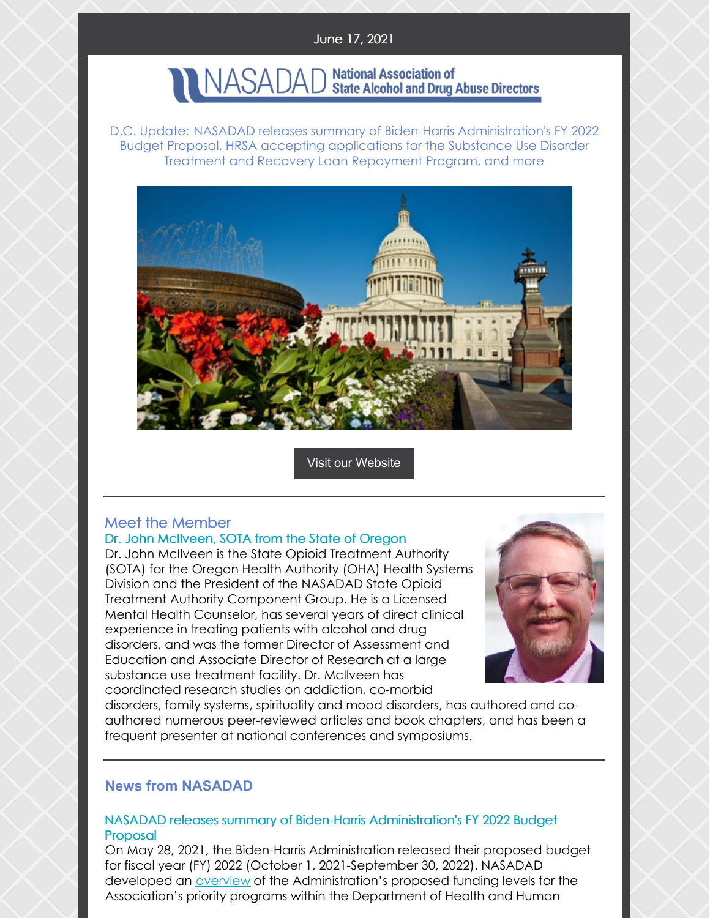#### June 17, 2021

# NASADAD National Association of<br>NASADAD State Alcohol and Drug Abuse Directors

D.C. Update: NASADAD releases summary of Biden-Harris Administration's FY 2022 Budget Proposal, HRSA accepting applications for the Substance Use Disorder Treatment and Recovery Loan Repayment Program, and more



Visit our [Website](http://www.nasadad.org)

### Meet the Member

#### Dr. John McIlveen, SOTA from the State of Oregon

Dr. John McIlveen is the State Opioid Treatment Authority (SOTA) for the Oregon Health Authority (OHA) Health Systems Division and the President of the NASADAD State Opioid Treatment Authority Component Group. He is a Licensed Mental Health Counselor, has several years of direct clinical experience in treating patients with alcohol and drug disorders, and was the former Director of Assessment and Education and Associate Director of Research at a large substance use treatment facility. Dr. McIlveen has coordinated research studies on addiction, co-morbid



disorders, family systems, spirituality and mood disorders, has authored and coauthored numerous peer-reviewed articles and book chapters, and has been a frequent presenter at national conferences and symposiums.

#### **News from NASADAD**

#### NASADAD releases summary of Biden-Harris Administration's FY 2022 Budget Proposal

On May 28, 2021, the Biden-Harris Administration released their proposed budget for fiscal year (FY) 2022 (October 1, 2021-September 30, 2022). NASADAD developed an [overview](https://nasadad.org/2021/06/proposed-budget-fy-2022/) of the Administration's proposed funding levels for the Association's priority programs within the Department of Health and Human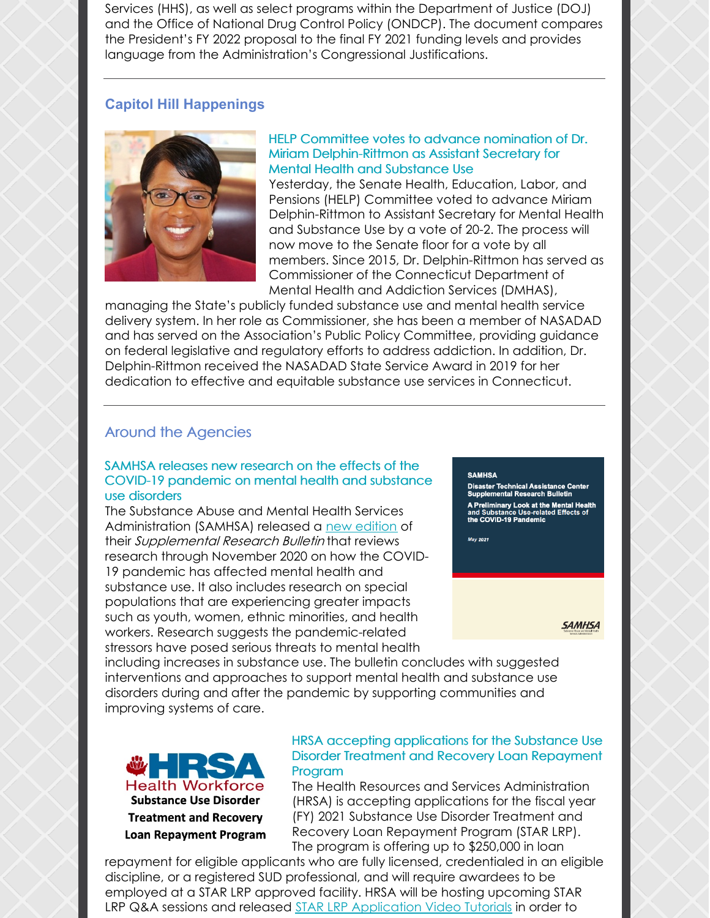Services (HHS), as well as select programs within the Department of Justice (DOJ) and the Office of National Drug Control Policy (ONDCP). The document compares the President's FY 2022 proposal to the final FY 2021 funding levels and provides language from the Administration's Congressional Justifications.

#### **Capitol Hill Happenings**



#### HELP Committee votes to advance nomination of Dr. Miriam Delphin-Rittmon as Assistant Secretary for Mental Health and Substance Use

Yesterday, the Senate Health, Education, Labor, and Pensions (HELP) Committee voted to advance Miriam Delphin-Rittmon to Assistant Secretary for Mental Health and Substance Use by a vote of 20-2. The process will now move to the Senate floor for a vote by all members. Since 2015, Dr. Delphin-Rittmon has served as Commissioner of the Connecticut Department of Mental Health and Addiction Services (DMHAS),

managing the State's publicly funded substance use and mental health service delivery system. In her role as Commissioner, she has been a member of NASADAD and has served on the Association's Public Policy Committee, providing guidance on federal legislative and regulatory efforts to address addiction. In addition, Dr. Delphin-Rittmon received the NASADAD State Service Award in 2019 for her dedication to effective and equitable substance use services in Connecticut.

#### Around the Agencies

#### SAMHSA releases new research on the effects of the COVID-19 pandemic on mental health and substance use disorders

The Substance Abuse and Mental Health Services Administration (SAMHSA) released a new [edition](https://www.samhsa.gov/sites/default/files/dtac/mental-health-substance-use-effects-covid-pandemic-srb.pdf?utm_source=SAMHSA&utm_campaign=557216f26a-SUPPLEMENTAL_BULLETIN_2021_06_04_1600070&utm_medium=email&utm_term=0_ee1c4b138c-557216f26a-168128645) of their Supplemental Research Bulletin that reviews research through November 2020 on how the COVID-19 pandemic has affected mental health and substance use. It also includes research on special populations that are experiencing greater impacts such as youth, women, ethnic minorities, and health workers. Research suggests the pandemic-related stressors have posed serious threats to mental health

#### **SAMHSA**

Disaster Technical Assistance Center<br>Supplemental Research Bulletin

.<br>A Preliminary Look at the Mental Health<br>and Substance Use-related Effects of<br>the COVID-19 Pandemic

May 2021

**SAMHSA** 

including increases in substance use. The bulletin concludes with suggested interventions and approaches to support mental health and substance use disorders during and after the pandemic by supporting communities and improving systems of care.



#### HRSA accepting applications for the Substance Use Disorder Treatment and Recovery Loan Repayment Program

The Health Resources and Services Administration (HRSA) is accepting applications for the fiscal year (FY) 2021 Substance Use Disorder Treatment and Recovery Loan Repayment Program (STAR LRP). The program is offering up to \$250,000 in loan

repayment for eligible applicants who are fully licensed, credentialed in an eligible discipline, or a registered SUD professional, and will require awardees to be employed at a STAR LRP approved facility. HRSA will be hosting upcoming STAR LRP Q&A sessions and released STAR LRP [Application](https://www.youtube.com/playlist?list=PL5Q6ZzhhASkc6YSl3Y0b6rXoO-LLypAcR) Video Tutorials in order to